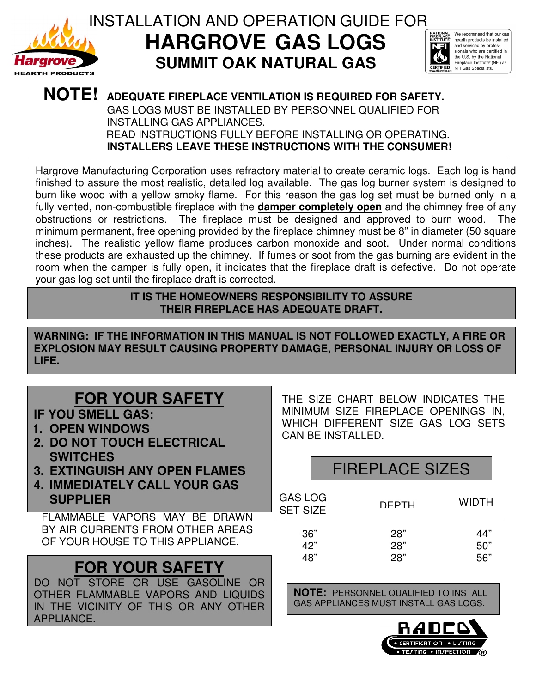

# INSTALLATION AND OPERATION GUIDE FOR **HARGROVE GAS LOGS SUMMIT OAK NATURAL GAS**



hearth products be installed and serviced by professionals who are certified in the U.S. by the National<br>Fireplace Institute® (NFI) as NFI Gas Specialists.

## **NOTE! ADEQUATE FIREPLACE VENTILATION IS REQUIRED FOR SAFETY.** GAS LOGS MUST BE INSTALLED BY PERSONNEL QUALIFIED FOR INSTALLING GAS APPLIANCES. READ INSTRUCTIONS FULLY BEFORE INSTALLING OR OPERATING. **INSTALLERS LEAVE THESE INSTRUCTIONS WITH THE CONSUMER!**

Hargrove Manufacturing Corporation uses refractory material to create ceramic logs. Each log is hand finished to assure the most realistic, detailed log available. The gas log burner system is designed to burn like wood with a yellow smoky flame. For this reason the gas log set must be burned only in a fully vented, non-combustible fireplace with the **damper completely open** and the chimney free of any obstructions or restrictions. The fireplace must be designed and approved to burn wood. The minimum permanent, free opening provided by the fireplace chimney must be 8" in diameter (50 square inches). The realistic yellow flame produces carbon monoxide and soot. Under normal conditions these products are exhausted up the chimney. If fumes or soot from the gas burning are evident in the room when the damper is fully open, it indicates that the fireplace draft is defective. Do not operate your gas log set until the fireplace draft is corrected.

## **IT IS THE HOMEOWNERS RESPONSIBILITY TO ASSURE THEIR FIREPLACE HAS ADEQUATE DRAFT.**

**WARNING: IF THE INFORMATION IN THIS MANUAL IS NOT FOLLOWED EXACTLY, A FIRE OR EXPLOSION MAY RESULT CAUSING PROPERTY DAMAGE, PERSONAL INJURY OR LOSS OF LIFE.**

## **FOR YOUR SAFETY**

- **FOR YOUR SAFETY IF YOU SMELL GAS:**
- **1. OPEN WINDOWS**
- 1. OPEN WINDOWS **2. DO NOT TOUCH ELECTRICAL SWITCHES**
- THOLICI 3. EXTINGUISH ANY OPEN FLAMES **3. EXTINGUISH ANY OPEN FLAMES**
- 4. IMMEDIATELY CALL YOU GAS **4. IMMEDIATELY CALL YOUR GAS** SUPPLIER **SUPPLIER**

FLAMMABLE VAPORS MAY BE DRAWN BY AIR CURRENTS FROM OTHER AREAS OF YOUR HOUSE TO THIS APPLIANCE.

## **FOR YOUR SAFETY**

DO NOT STORE OR USE GASOLINE OR OTHER FLAMMABLE VAPORS AND LIQUIDS IN THE VICINITY OF THIS OR ANY OTHER APPLIANCE.

THE SIZE CHART BELOW INDICATES THE MINIMUM SIZE FIREPLACE OPENINGS IN, WHICH DIFFERENT SIZE GAS LOG SETS CAN BE INSTALLED.

## FIREPLACE SIZES

| <b>GAS LOG</b><br><b>SET SIZE</b> | <b>DEPTH</b> | WIDTH |
|-----------------------------------|--------------|-------|
| 36"                               | 28"          | 44"   |
| 42"                               | 28"          | 50"   |
| 48"                               | 28"          | 56"   |

**NOTE:** PERSONNEL QUALIFIED TO INSTALL GAS APPLIANCES MUST INSTALL GAS LOGS.

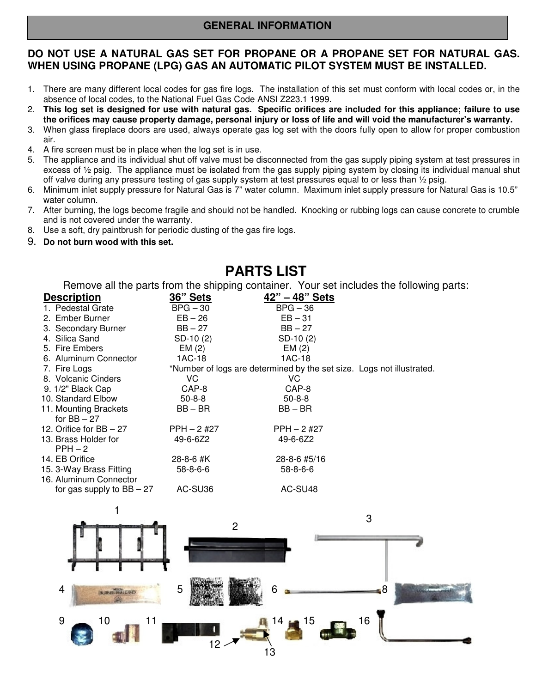### **GENERAL INFORMATION**

#### **DO NOT USE A NATURAL GAS SET FOR PROPANE OR A PROPANE SET FOR NATURAL GAS. WHEN USING PROPANE (LPG) GAS AN AUTOMATIC PILOT SYSTEM MUST BE INSTALLED.**

- 1. There are many different local codes for gas fire logs. The installation of this set must conform with local codes or, in the absence of local codes, to the National Fuel Gas Code ANSI Z223.1 1999.
- 2. This log set is designed for use with natural gas. Specific orifices are included for this appliance; failure to use the orifices may cause property damage, personal injury or loss of life and will void the manufacturer's warranty.
- 3. When glass fireplace doors are used, always operate gas log set with the doors fully open to allow for proper combustion air.
- 4. A fire screen must be in place when the log set is in use.
- 5. The appliance and its individual shut off valve must be disconnected from the gas supply piping system at test pressures in excess of  $\frac{1}{2}$  psig. The appliance must be isolated from the gas supply piping system by closing its individual manual shut off valve during any pressure testing of gas supply system at test pressures equal to or less than ½ psig.
- 6. Minimum inlet supply pressure for Natural Gas is 7" water column. Maximum inlet supply pressure for Natural Gas is 10.5" water column.
- 7. After burning, the logs become fragile and should not be handled. Knocking or rubbing logs can cause concrete to crumble and is not covered under the warranty.
- 8. Use a soft, dry paintbrush for periodic dusting of the gas fire logs.
- 9. **Do not burn wood with this set.**

## **PARTS LIST**

Remove all the parts from the shipping container. Your set includes the following parts:

| <b>Description</b>                     | 36" Sets         | 42" – 48" Sets                                                        |  |
|----------------------------------------|------------------|-----------------------------------------------------------------------|--|
| 1. Pedestal Grate                      | $BPG - 30$       | $BPG - 36$                                                            |  |
| 2. Ember Burner                        | $EB - 26$        | $EB - 31$                                                             |  |
| 3. Secondary Burner                    | $BB - 27$        | $BB - 27$                                                             |  |
| 4. Silica Sand                         | $SD-10(2)$       | $SD-10(2)$                                                            |  |
| 5. Fire Embers                         | EM(2)            | EM(2)                                                                 |  |
| 6. Aluminum Connector                  | 1AC-18           | 1AC-18                                                                |  |
| 7. Fire Logs                           |                  | *Number of logs are determined by the set size. Logs not illustrated. |  |
| 8. Volcanic Cinders                    | VC               | VC                                                                    |  |
| 9. 1/2" Black Cap                      | CAP-8            | CAP-8                                                                 |  |
| 10. Standard Elbow                     | $50 - 8 - 8$     | $50 - 8 - 8$                                                          |  |
| 11. Mounting Brackets<br>for $BB - 27$ | $BB - BR$        | $BB - BR$                                                             |  |
| 12. Orifice for $BB - 27$              | $PPH - 2 \#27$   | $PPH - 2 \#27$                                                        |  |
| 13. Brass Holder for<br>$PPH - 2$      | 49-6-6Z2         | 49-6-6Z2                                                              |  |
| 14. EB Orifice                         | 28-8-6 #K        | 28-8-6 #5/16                                                          |  |
| 15. 3-Way Brass Fitting                | $58 - 8 - 6 - 6$ | $58 - 8 - 6 - 6$                                                      |  |
| 16. Aluminum Connector                 |                  |                                                                       |  |
| for gas supply to $BB - 27$            | AC-SU36          | AC-SU48                                                               |  |

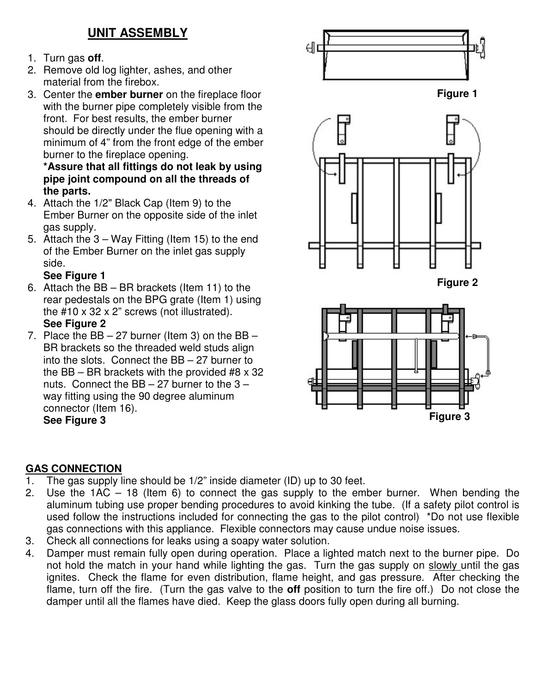## **UNIT ASSEMBLY**

- 1. Turn gas **off**.
- 2. Remove old log lighter, ashes, and other material from the firebox.
- 3. Center the **ember burner** on the fireplace floor with the burner pipe completely visible from the front. For best results, the ember burner should be directly under the flue opening with a minimum of 4" from the front edge of the ember burner to the fireplace opening.

#### **\*Assure that all fittings do not leak by using pipe joint compound on all the threads of the parts.**

- 4. Attach the 1/2" Black Cap (Item 9) to the Ember Burner on the opposite side of the inlet gas supply.
- 5. Attach the 3 Way Fitting (Item 15) to the end of the Ember Burner on the inlet gas supply side.

## **See Figure 1**

6. Attach the BB – BR brackets (Item 11) to the rear pedestals on the BPG grate (Item 1) using the #10 x 32 x 2" screws (not illustrated).

## **See Figure 2**

7. Place the  $BB - 27$  burner (Item 3) on the  $BB -$ BR brackets so the threaded weld studs align into the slots. Connect the BB – 27 burner to the BB – BR brackets with the provided  $#8 \times 32$ nuts. Connect the BB – 27 burner to the 3 – way fitting using the 90 degree aluminum connector (Item 16). **See Figure 3**



## **GAS CONNECTION**

- 1. The gas supply line should be 1/2" inside diameter (ID) up to 30 feet.
- 2. Use the 1AC 18 (Item 6) to connect the gas supply to the ember burner. When bending the aluminum tubing use proper bending procedures to avoid kinking the tube. (If a safety pilot control is used follow the instructions included for connecting the gas to the pilot control) \*Do not use flexible gas connections with this appliance. Flexible connectors may cause undue noise issues.
- 3. Check all connections for leaks using a soapy water solution.
- 4. Damper must remain fully open during operation. Place a lighted match next to the burner pipe. Do not hold the match in your hand while lighting the gas. Turn the gas supply on slowly until the gas ignites. Check the flame for even distribution, flame height, and gas pressure. After checking the flame, turn off the fire. (Turn the gas valve to the **off** position to turn the fire off.) Do not close the damper until all the flames have died. Keep the glass doors fully open during all burning.